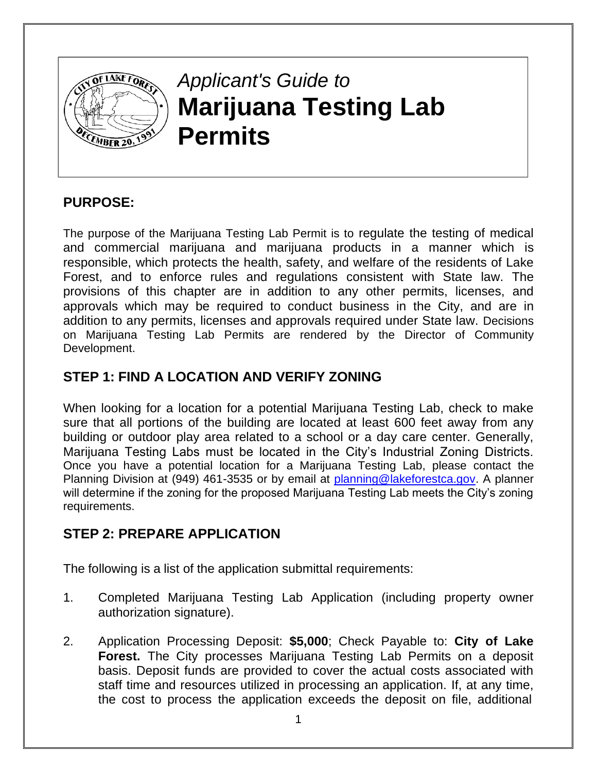

## **PURPOSE:**

The purpose of the Marijuana Testing Lab Permit is to regulate the testing of medical and commercial marijuana and marijuana products in a manner which is responsible, which protects the health, safety, and welfare of the residents of Lake Forest, and to enforce rules and regulations consistent with State law. The provisions of this chapter are in addition to any other permits, licenses, and approvals which may be required to conduct business in the City, and are in addition to any permits, licenses and approvals required under State law. Decisions on Marijuana Testing Lab Permits are rendered by the Director of Community Development.

## **STEP 1: FIND A LOCATION AND VERIFY ZONING**

When looking for a location for a potential Marijuana Testing Lab, check to make sure that all portions of the building are located at least 600 feet away from any building or outdoor play area related to a school or a day care center. Generally, Marijuana Testing Labs must be located in the City's Industrial Zoning Districts. Once you have a potential location for a Marijuana Testing Lab, please contact the Planning Division at (949) 461-3535 or by email at [planning@lakeforestca.gov.](mailto:planning@lakeforestca.gov) A planner will determine if the zoning for the proposed Marijuana Testing Lab meets the City's zoning requirements.

# **STEP 2: PREPARE APPLICATION**

The following is a list of the application submittal requirements:

- 1. Completed Marijuana Testing Lab Application (including property owner authorization signature).
- 2. Application Processing Deposit: **\$5,000**; Check Payable to: **City of Lake Forest.** The City processes Marijuana Testing Lab Permits on a deposit basis. Deposit funds are provided to cover the actual costs associated with staff time and resources utilized in processing an application. If, at any time, the cost to process the application exceeds the deposit on file, additional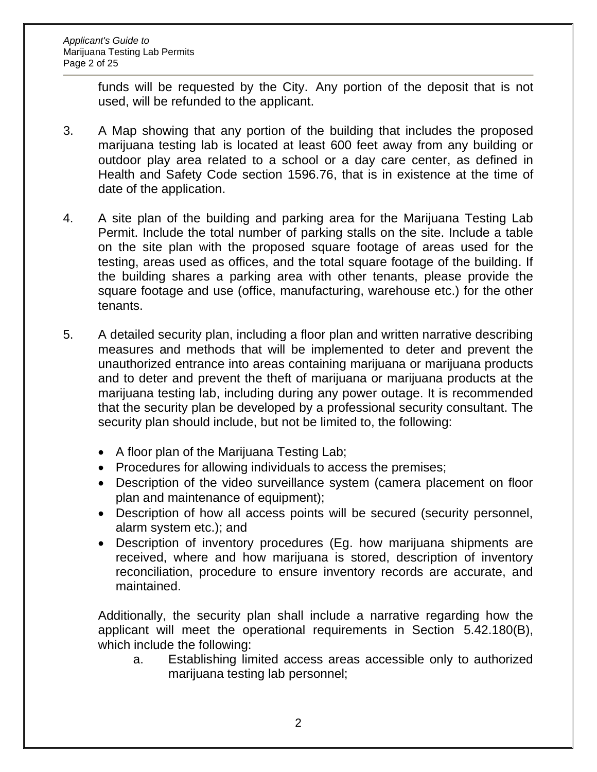funds will be requested by the City. Any portion of the deposit that is not used, will be refunded to the applicant.

- 3. A Map showing that any portion of the building that includes the proposed marijuana testing lab is located at least 600 feet away from any building or outdoor play area related to a school or a day care center, as defined in Health and Safety Code section 1596.76, that is in existence at the time of date of the application.
- 4. A site plan of the building and parking area for the Marijuana Testing Lab Permit. Include the total number of parking stalls on the site. Include a table on the site plan with the proposed square footage of areas used for the testing, areas used as offices, and the total square footage of the building. If the building shares a parking area with other tenants, please provide the square footage and use (office, manufacturing, warehouse etc.) for the other tenants.
- 5. A detailed security plan, including a floor plan and written narrative describing measures and methods that will be implemented to deter and prevent the unauthorized entrance into areas containing marijuana or marijuana products and to deter and prevent the theft of marijuana or marijuana products at the marijuana testing lab, including during any power outage. It is recommended that the security plan be developed by a professional security consultant. The security plan should include, but not be limited to, the following:
	- A floor plan of the Marijuana Testing Lab;
	- Procedures for allowing individuals to access the premises;
	- Description of the video surveillance system (camera placement on floor plan and maintenance of equipment);
	- Description of how all access points will be secured (security personnel, alarm system etc.); and
	- Description of inventory procedures (Eg. how marijuana shipments are received, where and how marijuana is stored, description of inventory reconciliation, procedure to ensure inventory records are accurate, and maintained.

Additionally, the security plan shall include a narrative regarding how the applicant will meet the operational requirements in Section 5.42.180(B), which include the following:

a. Establishing limited access areas accessible only to authorized marijuana testing lab personnel;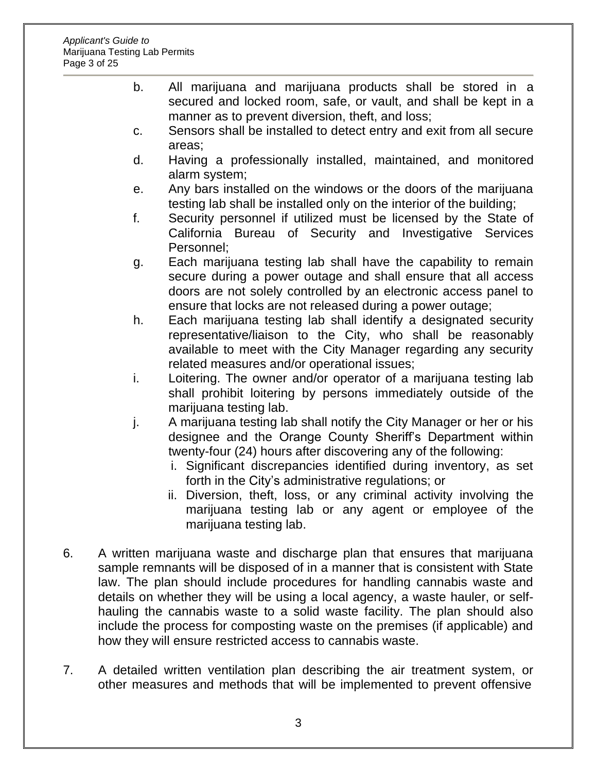- b. All marijuana and marijuana products shall be stored in a secured and locked room, safe, or vault, and shall be kept in a manner as to prevent diversion, theft, and loss;
- c. Sensors shall be installed to detect entry and exit from all secure areas;
- d. Having a professionally installed, maintained, and monitored alarm system;
- e. Any bars installed on the windows or the doors of the marijuana testing lab shall be installed only on the interior of the building;
- f. Security personnel if utilized must be licensed by the State of California Bureau of Security and Investigative Services Personnel;
- g. Each marijuana testing lab shall have the capability to remain secure during a power outage and shall ensure that all access doors are not solely controlled by an electronic access panel to ensure that locks are not released during a power outage;
- h. Each marijuana testing lab shall identify a designated security representative/liaison to the City, who shall be reasonably available to meet with the City Manager regarding any security related measures and/or operational issues;
- i. Loitering. The owner and/or operator of a marijuana testing lab shall prohibit loitering by persons immediately outside of the marijuana testing lab.
- j. A marijuana testing lab shall notify the City Manager or her or his designee and the Orange County Sheriff's Department within twenty-four (24) hours after discovering any of the following:
	- i. Significant discrepancies identified during inventory, as set forth in the City's administrative regulations; or
	- ii. Diversion, theft, loss, or any criminal activity involving the marijuana testing lab or any agent or employee of the marijuana testing lab.
- 6. A written marijuana waste and discharge plan that ensures that marijuana sample remnants will be disposed of in a manner that is consistent with State law. The plan should include procedures for handling cannabis waste and details on whether they will be using a local agency, a waste hauler, or selfhauling the cannabis waste to a solid waste facility. The plan should also include the process for composting waste on the premises (if applicable) and how they will ensure restricted access to cannabis waste.
- 7. A detailed written ventilation plan describing the air treatment system, or other measures and methods that will be implemented to prevent offensive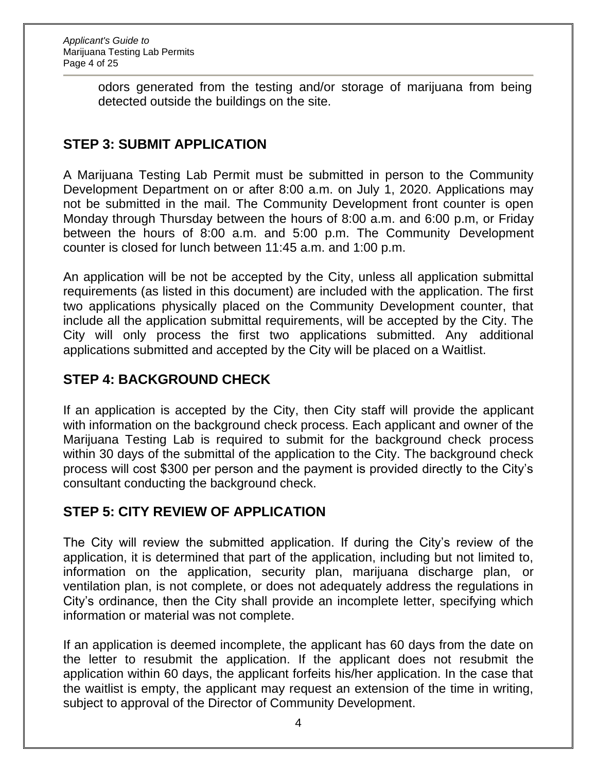odors generated from the testing and/or storage of marijuana from being detected outside the buildings on the site.

# **STEP 3: SUBMIT APPLICATION**

A Marijuana Testing Lab Permit must be submitted in person to the Community Development Department on or after 8:00 a.m. on July 1, 2020. Applications may not be submitted in the mail. The Community Development front counter is open Monday through Thursday between the hours of 8:00 a.m. and 6:00 p.m, or Friday between the hours of 8:00 a.m. and 5:00 p.m. The Community Development counter is closed for lunch between 11:45 a.m. and 1:00 p.m.

An application will be not be accepted by the City, unless all application submittal requirements (as listed in this document) are included with the application. The first two applications physically placed on the Community Development counter, that include all the application submittal requirements, will be accepted by the City. The City will only process the first two applications submitted. Any additional applications submitted and accepted by the City will be placed on a Waitlist.

## **STEP 4: BACKGROUND CHECK**

If an application is accepted by the City, then City staff will provide the applicant with information on the background check process. Each applicant and owner of the Marijuana Testing Lab is required to submit for the background check process within 30 days of the submittal of the application to the City. The background check process will cost \$300 per person and the payment is provided directly to the City's consultant conducting the background check.

## **STEP 5: CITY REVIEW OF APPLICATION**

The City will review the submitted application. If during the City's review of the application, it is determined that part of the application, including but not limited to, information on the application, security plan, marijuana discharge plan, or ventilation plan, is not complete, or does not adequately address the regulations in City's ordinance, then the City shall provide an incomplete letter, specifying which information or material was not complete.

If an application is deemed incomplete, the applicant has 60 days from the date on the letter to resubmit the application. If the applicant does not resubmit the application within 60 days, the applicant forfeits his/her application. In the case that the waitlist is empty, the applicant may request an extension of the time in writing, subject to approval of the Director of Community Development.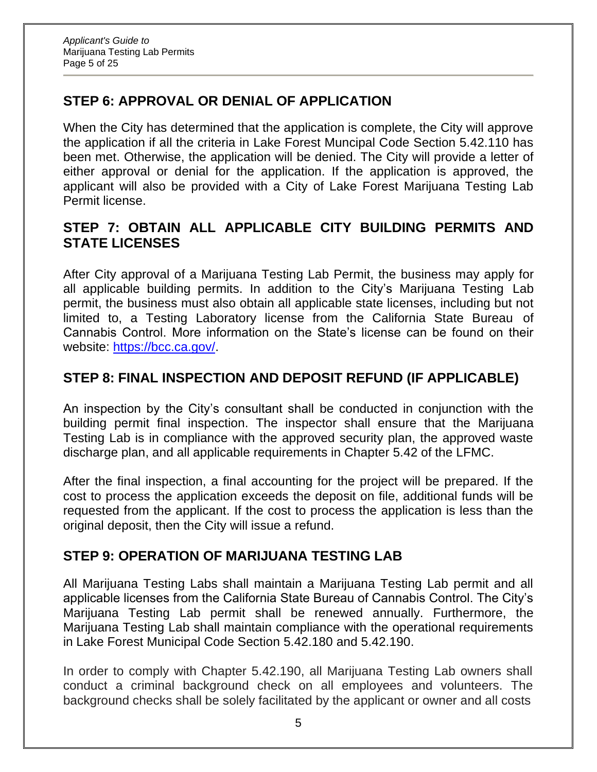# **STEP 6: APPROVAL OR DENIAL OF APPLICATION**

When the City has determined that the application is complete, the City will approve the application if all the criteria in Lake Forest Muncipal Code Section 5.42.110 has been met. Otherwise, the application will be denied. The City will provide a letter of either approval or denial for the application. If the application is approved, the applicant will also be provided with a City of Lake Forest Marijuana Testing Lab Permit license.

## **STEP 7: OBTAIN ALL APPLICABLE CITY BUILDING PERMITS AND STATE LICENSES**

After City approval of a Marijuana Testing Lab Permit, the business may apply for all applicable building permits. In addition to the City's Marijuana Testing Lab permit, the business must also obtain all applicable state licenses, including but not limited to, a Testing Laboratory license from the California State Bureau of Cannabis Control. More information on the State's license can be found on their website: [https://bcc.ca.gov/.](https://bcc.ca.gov/)

## **STEP 8: FINAL INSPECTION AND DEPOSIT REFUND (IF APPLICABLE)**

An inspection by the City's consultant shall be conducted in conjunction with the building permit final inspection. The inspector shall ensure that the Marijuana Testing Lab is in compliance with the approved security plan, the approved waste discharge plan, and all applicable requirements in Chapter 5.42 of the LFMC.

After the final inspection, a final accounting for the project will be prepared. If the cost to process the application exceeds the deposit on file, additional funds will be requested from the applicant. If the cost to process the application is less than the original deposit, then the City will issue a refund.

## **STEP 9: OPERATION OF MARIJUANA TESTING LAB**

All Marijuana Testing Labs shall maintain a Marijuana Testing Lab permit and all applicable licenses from the California State Bureau of Cannabis Control. The City's Marijuana Testing Lab permit shall be renewed annually. Furthermore, the Marijuana Testing Lab shall maintain compliance with the operational requirements in Lake Forest Municipal Code Section 5.42.180 and 5.42.190.

In order to comply with Chapter 5.42.190, all Marijuana Testing Lab owners shall conduct a criminal background check on all employees and volunteers. The background checks shall be solely facilitated by the applicant or owner and all costs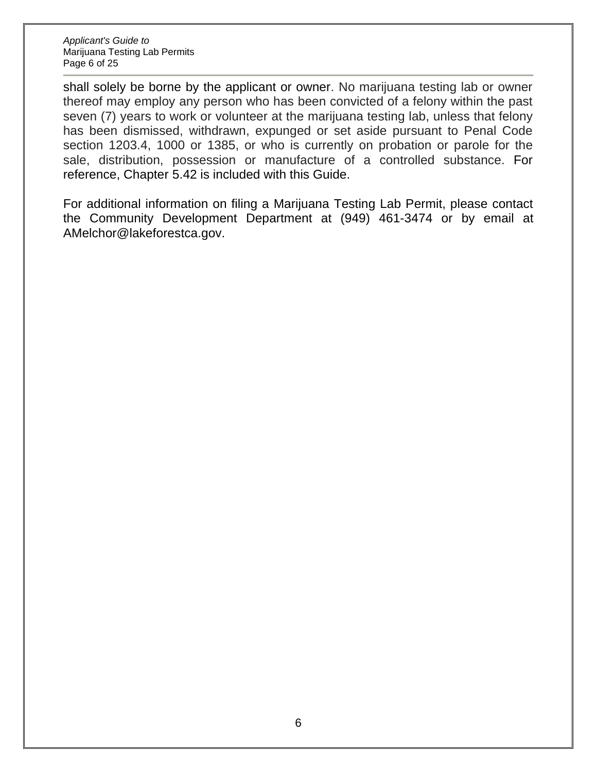shall solely be borne by the applicant or owner. No marijuana testing lab or owner thereof may employ any person who has been convicted of a felony within the past seven (7) years to work or volunteer at the marijuana testing lab, unless that felony has been dismissed, withdrawn, expunged or set aside pursuant to Penal Code section 1203.4, 1000 or 1385, or who is currently on probation or parole for the sale, distribution, possession or manufacture of a controlled substance. For reference, Chapter 5.42 is included with this Guide.

For additional information on filing a Marijuana Testing Lab Permit, please contact the Community Development Department at (949) 461-3474 or by email at [AMelchor@lakeforestca.gov.](mailto:AMelchor@lakeforestca.gov)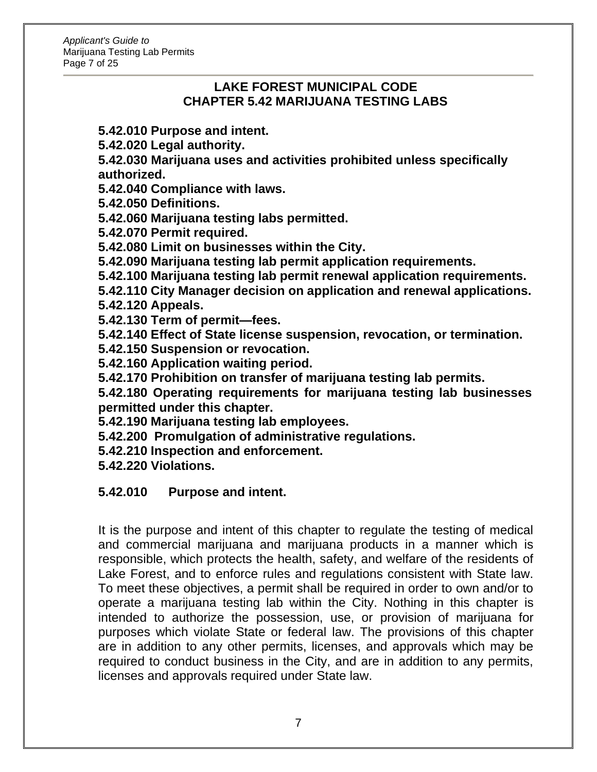#### **LAKE FOREST MUNICIPAL CODE CHAPTER 5.42 MARIJUANA TESTING LABS**

**5.42.010 Purpose and intent.**

**5.42.020 Legal authority.**

**5.42.030 Marijuana uses and activities prohibited unless specifically authorized.**

**5.42.040 Compliance with laws.**

**5.42.050 Definitions.**

**5.42.060 Marijuana testing labs permitted.**

**5.42.070 Permit required.**

**5.42.080 Limit on businesses within the City.**

**5.42.090 Marijuana testing lab permit application requirements.**

**5.42.100 Marijuana testing lab permit renewal application requirements.**

**5.42.110 City Manager decision on application and renewal applications. 5.42.120 Appeals.**

**5.42.130 Term of permit—fees.**

**5.42.140 Effect of State license suspension, revocation, or termination.**

**5.42.150 Suspension or revocation.**

**5.42.160 Application waiting period.**

**5.42.170 Prohibition on transfer of marijuana testing lab permits.**

**5.42.180 Operating requirements for marijuana testing lab businesses permitted under this chapter.**

**5.42.190 Marijuana testing lab employees.**

**5.42.200 Promulgation of administrative regulations.**

**5.42.210 Inspection and enforcement.**

**5.42.220 Violations.**

#### **5.42.010 Purpose and intent.**

It is the purpose and intent of this chapter to regulate the testing of medical and commercial marijuana and marijuana products in a manner which is responsible, which protects the health, safety, and welfare of the residents of Lake Forest, and to enforce rules and regulations consistent with State law. To meet these objectives, a permit shall be required in order to own and/or to operate a marijuana testing lab within the City. Nothing in this chapter is intended to authorize the possession, use, or provision of marijuana for purposes which violate State or federal law. The provisions of this chapter are in addition to any other permits, licenses, and approvals which may be required to conduct business in the City, and are in addition to any permits, licenses and approvals required under State law.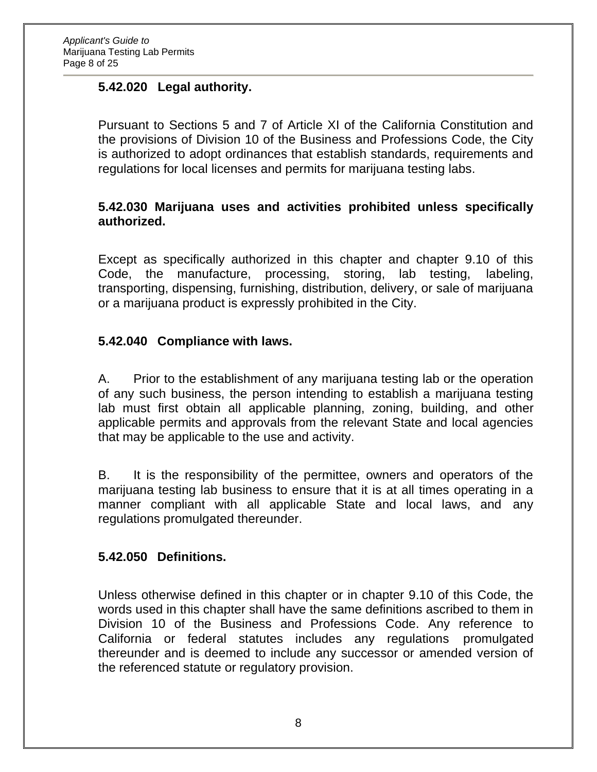### **5.42.020 Legal authority.**

Pursuant to Sections 5 and 7 of Article XI of the California Constitution and the provisions of Division 10 of the Business and Professions Code, the City is authorized to adopt ordinances that establish standards, requirements and regulations for local licenses and permits for marijuana testing labs.

#### **5.42.030 Marijuana uses and activities prohibited unless specifically authorized.**

Except as specifically authorized in this chapter and chapter 9.10 of this Code, the manufacture, processing, storing, lab testing, labeling, transporting, dispensing, furnishing, distribution, delivery, or sale of marijuana or a marijuana product is expressly prohibited in the City.

#### **5.42.040 Compliance with laws.**

A. Prior to the establishment of any marijuana testing lab or the operation of any such business, the person intending to establish a marijuana testing lab must first obtain all applicable planning, zoning, building, and other applicable permits and approvals from the relevant State and local agencies that may be applicable to the use and activity.

B. It is the responsibility of the permittee, owners and operators of the marijuana testing lab business to ensure that it is at all times operating in a manner compliant with all applicable State and local laws, and any regulations promulgated thereunder.

#### **5.42.050 Definitions.**

Unless otherwise defined in this chapter or in chapter 9.10 of this Code, the words used in this chapter shall have the same definitions ascribed to them in Division 10 of the Business and Professions Code. Any reference to California or federal statutes includes any regulations promulgated thereunder and is deemed to include any successor or amended version of the referenced statute or regulatory provision.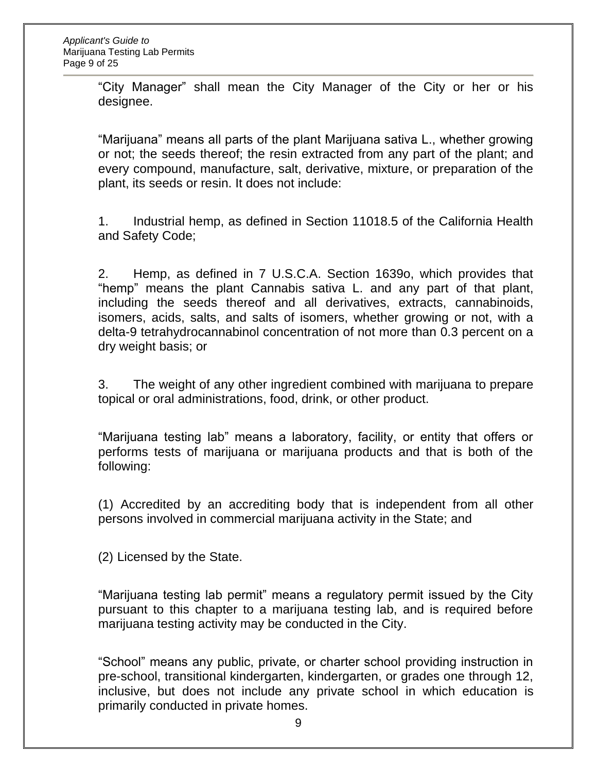"City Manager" shall mean the City Manager of the City or her or his designee.

"Marijuana" means all parts of the plant Marijuana sativa L., whether growing or not; the seeds thereof; the resin extracted from any part of the plant; and every compound, manufacture, salt, derivative, mixture, or preparation of the plant, its seeds or resin. It does not include:

1. Industrial hemp, as defined in Section 11018.5 of the California Health and Safety Code;

2. Hemp, as defined in 7 U.S.C.A. Section 1639o, which provides that "hemp" means the plant Cannabis sativa L. and any part of that plant, including the seeds thereof and all derivatives, extracts, cannabinoids, isomers, acids, salts, and salts of isomers, whether growing or not, with a delta-9 tetrahydrocannabinol concentration of not more than 0.3 percent on a dry weight basis; or

3. The weight of any other ingredient combined with marijuana to prepare topical or oral administrations, food, drink, or other product.

"Marijuana testing lab" means a laboratory, facility, or entity that offers or performs tests of marijuana or marijuana products and that is both of the following:

(1) Accredited by an accrediting body that is independent from all other persons involved in commercial marijuana activity in the State; and

(2) Licensed by the State.

"Marijuana testing lab permit" means a regulatory permit issued by the City pursuant to this chapter to a marijuana testing lab, and is required before marijuana testing activity may be conducted in the City.

"School" means any public, private, or charter school providing instruction in pre-school, transitional kindergarten, kindergarten, or grades one through 12, inclusive, but does not include any private school in which education is primarily conducted in private homes.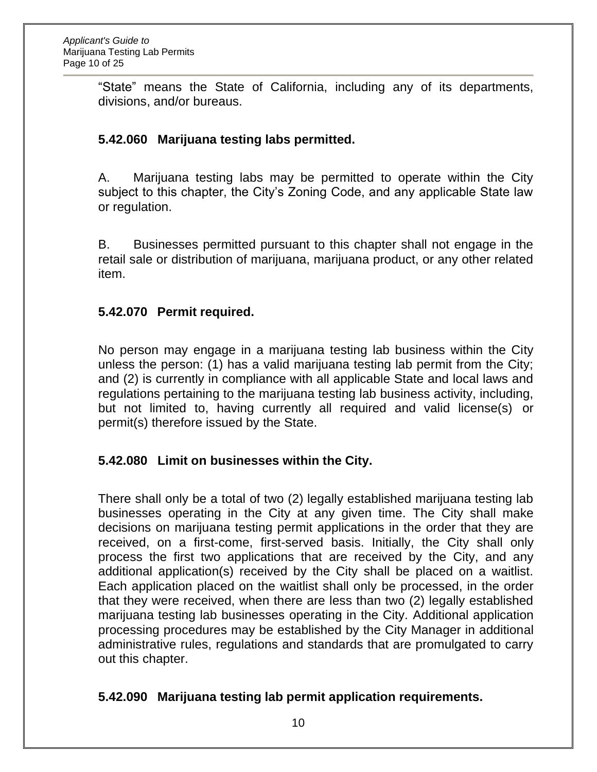"State" means the State of California, including any of its departments, divisions, and/or bureaus.

## **5.42.060 Marijuana testing labs permitted.**

A. Marijuana testing labs may be permitted to operate within the City subject to this chapter, the City's Zoning Code, and any applicable State law or regulation.

B. Businesses permitted pursuant to this chapter shall not engage in the retail sale or distribution of marijuana, marijuana product, or any other related item.

#### **5.42.070 Permit required.**

No person may engage in a marijuana testing lab business within the City unless the person: (1) has a valid marijuana testing lab permit from the City; and (2) is currently in compliance with all applicable State and local laws and regulations pertaining to the marijuana testing lab business activity, including, but not limited to, having currently all required and valid license(s) or permit(s) therefore issued by the State.

## **5.42.080 Limit on businesses within the City.**

There shall only be a total of two (2) legally established marijuana testing lab businesses operating in the City at any given time. The City shall make decisions on marijuana testing permit applications in the order that they are received, on a first-come, first-served basis. Initially, the City shall only process the first two applications that are received by the City, and any additional application(s) received by the City shall be placed on a waitlist. Each application placed on the waitlist shall only be processed, in the order that they were received, when there are less than two (2) legally established marijuana testing lab businesses operating in the City. Additional application processing procedures may be established by the City Manager in additional administrative rules, regulations and standards that are promulgated to carry out this chapter.

#### **5.42.090 Marijuana testing lab permit application requirements.**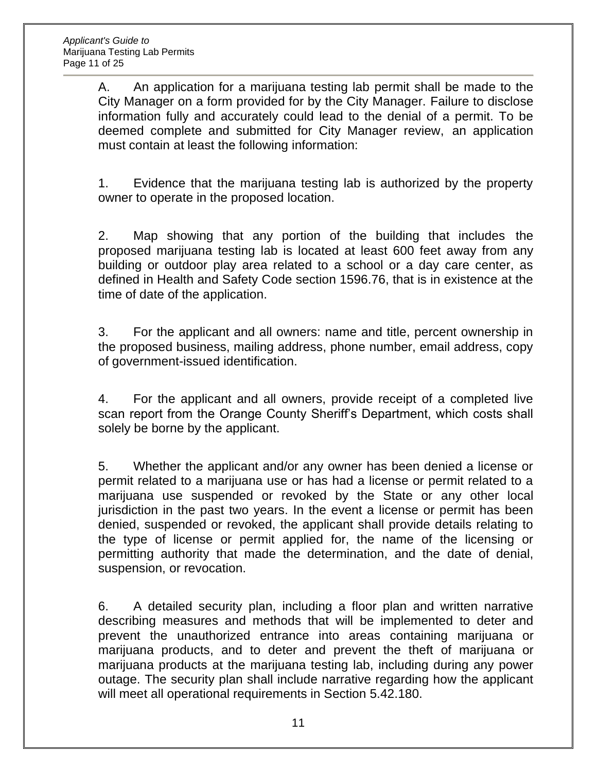A. An application for a marijuana testing lab permit shall be made to the City Manager on a form provided for by the City Manager. Failure to disclose information fully and accurately could lead to the denial of a permit. To be deemed complete and submitted for City Manager review, an application must contain at least the following information:

1. Evidence that the marijuana testing lab is authorized by the property owner to operate in the proposed location.

2. Map showing that any portion of the building that includes the proposed marijuana testing lab is located at least 600 feet away from any building or outdoor play area related to a school or a day care center, as defined in Health and Safety Code section 1596.76, that is in existence at the time of date of the application.

3. For the applicant and all owners: name and title, percent ownership in the proposed business, mailing address, phone number, email address, copy of government-issued identification.

4. For the applicant and all owners, provide receipt of a completed live scan report from the Orange County Sheriff's Department, which costs shall solely be borne by the applicant.

5. Whether the applicant and/or any owner has been denied a license or permit related to a marijuana use or has had a license or permit related to a marijuana use suspended or revoked by the State or any other local jurisdiction in the past two years. In the event a license or permit has been denied, suspended or revoked, the applicant shall provide details relating to the type of license or permit applied for, the name of the licensing or permitting authority that made the determination, and the date of denial, suspension, or revocation.

6. A detailed security plan, including a floor plan and written narrative describing measures and methods that will be implemented to deter and prevent the unauthorized entrance into areas containing marijuana or marijuana products, and to deter and prevent the theft of marijuana or marijuana products at the marijuana testing lab, including during any power outage. The security plan shall include narrative regarding how the applicant will meet all operational requirements in Section 5.42.180.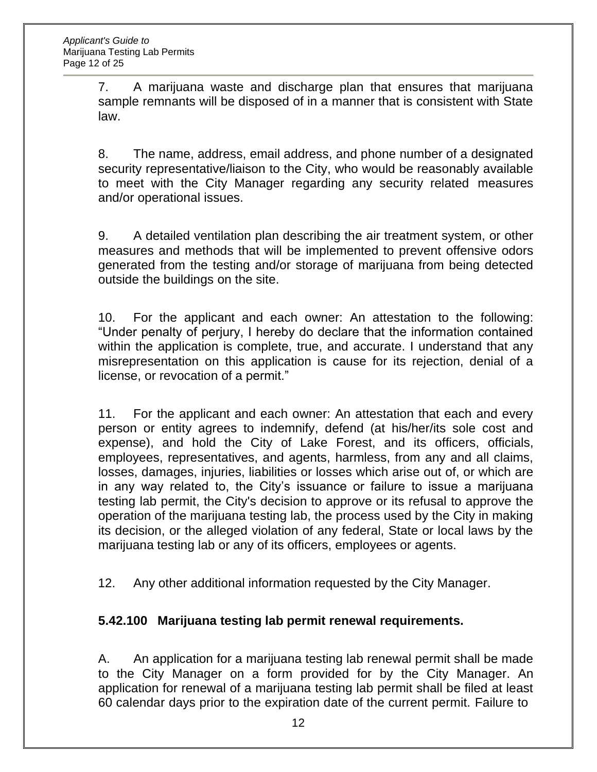7. A marijuana waste and discharge plan that ensures that marijuana sample remnants will be disposed of in a manner that is consistent with State law.

8. The name, address, email address, and phone number of a designated security representative/liaison to the City, who would be reasonably available to meet with the City Manager regarding any security related measures and/or operational issues.

9. A detailed ventilation plan describing the air treatment system, or other measures and methods that will be implemented to prevent offensive odors generated from the testing and/or storage of marijuana from being detected outside the buildings on the site.

10. For the applicant and each owner: An attestation to the following: "Under penalty of perjury, I hereby do declare that the information contained within the application is complete, true, and accurate. I understand that any misrepresentation on this application is cause for its rejection, denial of a license, or revocation of a permit."

11. For the applicant and each owner: An attestation that each and every person or entity agrees to indemnify, defend (at his/her/its sole cost and expense), and hold the City of Lake Forest, and its officers, officials, employees, representatives, and agents, harmless, from any and all claims, losses, damages, injuries, liabilities or losses which arise out of, or which are in any way related to, the City's issuance or failure to issue a marijuana testing lab permit, the City's decision to approve or its refusal to approve the operation of the marijuana testing lab, the process used by the City in making its decision, or the alleged violation of any federal, State or local laws by the marijuana testing lab or any of its officers, employees or agents.

12. Any other additional information requested by the City Manager.

## **5.42.100 Marijuana testing lab permit renewal requirements.**

A. An application for a marijuana testing lab renewal permit shall be made to the City Manager on a form provided for by the City Manager. An application for renewal of a marijuana testing lab permit shall be filed at least 60 calendar days prior to the expiration date of the current permit. Failure to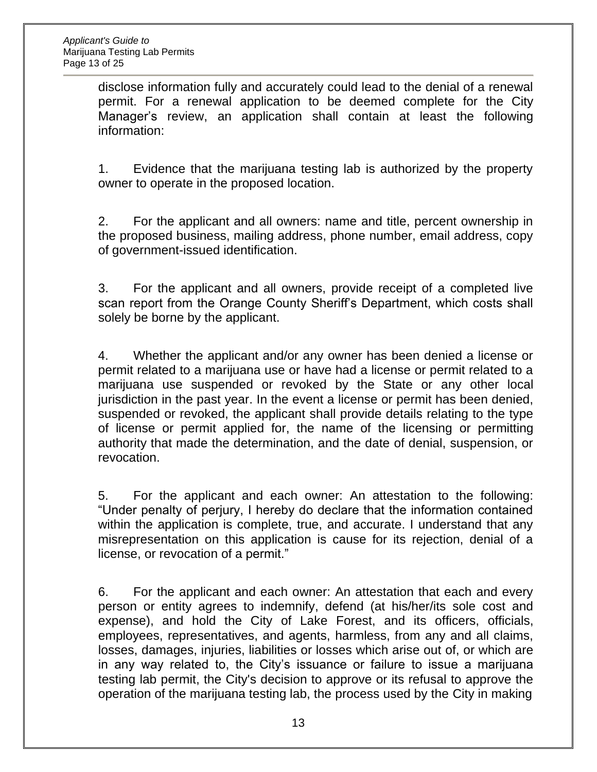disclose information fully and accurately could lead to the denial of a renewal permit. For a renewal application to be deemed complete for the City Manager's review, an application shall contain at least the following information:

1. Evidence that the marijuana testing lab is authorized by the property owner to operate in the proposed location.

2. For the applicant and all owners: name and title, percent ownership in the proposed business, mailing address, phone number, email address, copy of government-issued identification.

3. For the applicant and all owners, provide receipt of a completed live scan report from the Orange County Sheriff's Department, which costs shall solely be borne by the applicant.

4. Whether the applicant and/or any owner has been denied a license or permit related to a marijuana use or have had a license or permit related to a marijuana use suspended or revoked by the State or any other local jurisdiction in the past year. In the event a license or permit has been denied, suspended or revoked, the applicant shall provide details relating to the type of license or permit applied for, the name of the licensing or permitting authority that made the determination, and the date of denial, suspension, or revocation.

5. For the applicant and each owner: An attestation to the following: "Under penalty of perjury, I hereby do declare that the information contained within the application is complete, true, and accurate. I understand that any misrepresentation on this application is cause for its rejection, denial of a license, or revocation of a permit."

6. For the applicant and each owner: An attestation that each and every person or entity agrees to indemnify, defend (at his/her/its sole cost and expense), and hold the City of Lake Forest, and its officers, officials, employees, representatives, and agents, harmless, from any and all claims, losses, damages, injuries, liabilities or losses which arise out of, or which are in any way related to, the City's issuance or failure to issue a marijuana testing lab permit, the City's decision to approve or its refusal to approve the operation of the marijuana testing lab, the process used by the City in making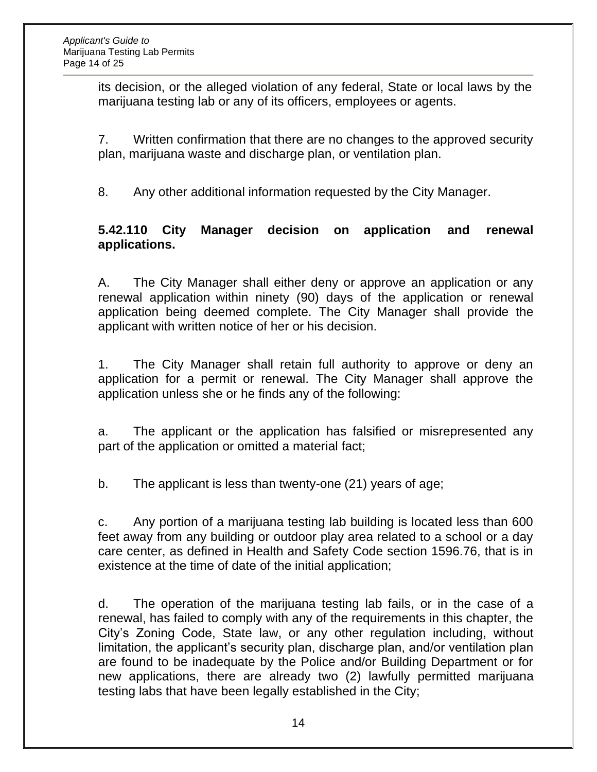its decision, or the alleged violation of any federal, State or local laws by the marijuana testing lab or any of its officers, employees or agents.

7. Written confirmation that there are no changes to the approved security plan, marijuana waste and discharge plan, or ventilation plan.

8. Any other additional information requested by the City Manager.

#### **5.42.110 City Manager decision on application and renewal applications.**

A. The City Manager shall either deny or approve an application or any renewal application within ninety (90) days of the application or renewal application being deemed complete. The City Manager shall provide the applicant with written notice of her or his decision.

1. The City Manager shall retain full authority to approve or deny an application for a permit or renewal. The City Manager shall approve the application unless she or he finds any of the following:

a. The applicant or the application has falsified or misrepresented any part of the application or omitted a material fact;

b. The applicant is less than twenty-one (21) years of age;

c. Any portion of a marijuana testing lab building is located less than 600 feet away from any building or outdoor play area related to a school or a day care center, as defined in Health and Safety Code section 1596.76, that is in existence at the time of date of the initial application;

d. The operation of the marijuana testing lab fails, or in the case of a renewal, has failed to comply with any of the requirements in this chapter, the City's Zoning Code, State law, or any other regulation including, without limitation, the applicant's security plan, discharge plan, and/or ventilation plan are found to be inadequate by the Police and/or Building Department or for new applications, there are already two (2) lawfully permitted marijuana testing labs that have been legally established in the City;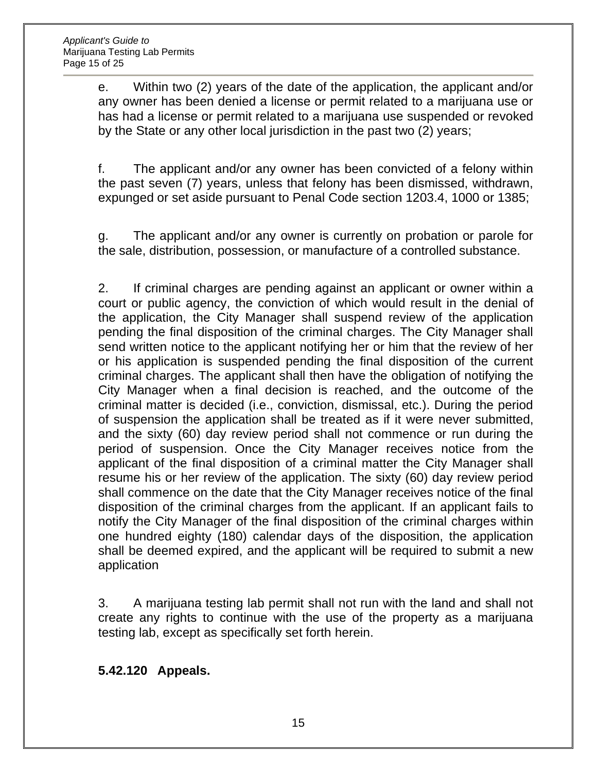e. Within two (2) years of the date of the application, the applicant and/or any owner has been denied a license or permit related to a marijuana use or has had a license or permit related to a marijuana use suspended or revoked by the State or any other local jurisdiction in the past two (2) years;

f. The applicant and/or any owner has been convicted of a felony within the past seven (7) years, unless that felony has been dismissed, withdrawn, expunged or set aside pursuant to Penal Code section 1203.4, 1000 or 1385;

g. The applicant and/or any owner is currently on probation or parole for the sale, distribution, possession, or manufacture of a controlled substance.

2. If criminal charges are pending against an applicant or owner within a court or public agency, the conviction of which would result in the denial of the application, the City Manager shall suspend review of the application pending the final disposition of the criminal charges. The City Manager shall send written notice to the applicant notifying her or him that the review of her or his application is suspended pending the final disposition of the current criminal charges. The applicant shall then have the obligation of notifying the City Manager when a final decision is reached, and the outcome of the criminal matter is decided (i.e., conviction, dismissal, etc.). During the period of suspension the application shall be treated as if it were never submitted, and the sixty (60) day review period shall not commence or run during the period of suspension. Once the City Manager receives notice from the applicant of the final disposition of a criminal matter the City Manager shall resume his or her review of the application. The sixty (60) day review period shall commence on the date that the City Manager receives notice of the final disposition of the criminal charges from the applicant. If an applicant fails to notify the City Manager of the final disposition of the criminal charges within one hundred eighty (180) calendar days of the disposition, the application shall be deemed expired, and the applicant will be required to submit a new application

3. A marijuana testing lab permit shall not run with the land and shall not create any rights to continue with the use of the property as a marijuana testing lab, except as specifically set forth herein.

**5.42.120 Appeals.**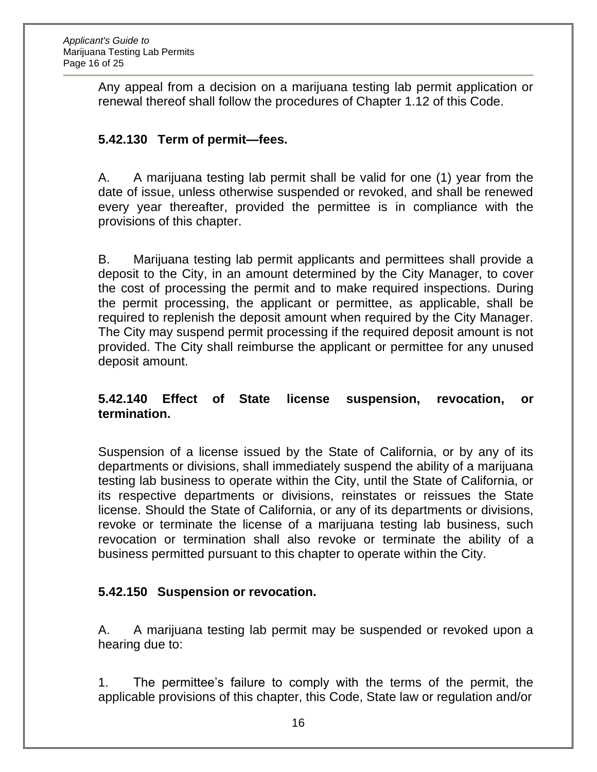Any appeal from a decision on a marijuana testing lab permit application or renewal thereof shall follow the procedures of Chapter 1.12 of this Code.

### **5.42.130 Term of permit—fees.**

A. A marijuana testing lab permit shall be valid for one (1) year from the date of issue, unless otherwise suspended or revoked, and shall be renewed every year thereafter, provided the permittee is in compliance with the provisions of this chapter.

B. Marijuana testing lab permit applicants and permittees shall provide a deposit to the City, in an amount determined by the City Manager, to cover the cost of processing the permit and to make required inspections. During the permit processing, the applicant or permittee, as applicable, shall be required to replenish the deposit amount when required by the City Manager. The City may suspend permit processing if the required deposit amount is not provided. The City shall reimburse the applicant or permittee for any unused deposit amount.

#### **5.42.140 Effect of State license suspension, revocation, or termination.**

Suspension of a license issued by the State of California, or by any of its departments or divisions, shall immediately suspend the ability of a marijuana testing lab business to operate within the City, until the State of California, or its respective departments or divisions, reinstates or reissues the State license. Should the State of California, or any of its departments or divisions, revoke or terminate the license of a marijuana testing lab business, such revocation or termination shall also revoke or terminate the ability of a business permitted pursuant to this chapter to operate within the City.

#### **5.42.150 Suspension or revocation.**

A. A marijuana testing lab permit may be suspended or revoked upon a hearing due to:

1. The permittee's failure to comply with the terms of the permit, the applicable provisions of this chapter, this Code, State law or regulation and/or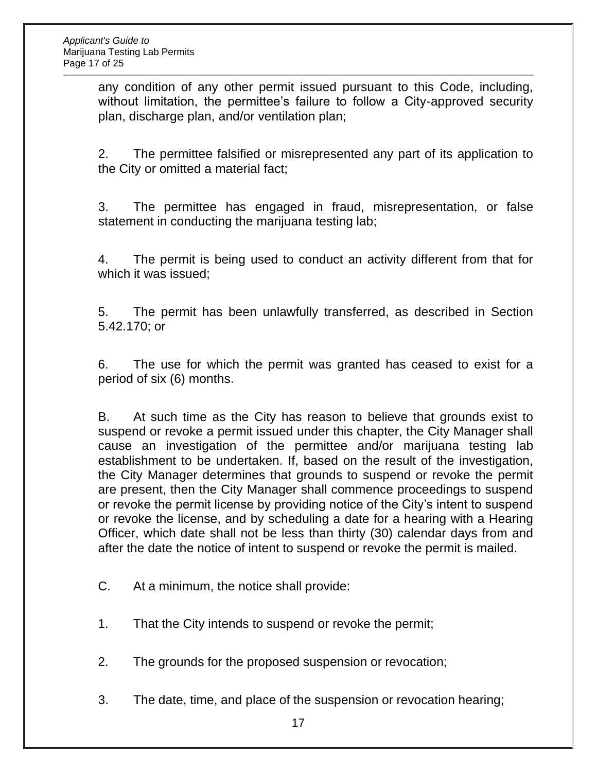any condition of any other permit issued pursuant to this Code, including, without limitation, the permittee's failure to follow a City-approved security plan, discharge plan, and/or ventilation plan;

2. The permittee falsified or misrepresented any part of its application to the City or omitted a material fact;

3. The permittee has engaged in fraud, misrepresentation, or false statement in conducting the marijuana testing lab;

4. The permit is being used to conduct an activity different from that for which it was issued;

5. The permit has been unlawfully transferred, as described in Section 5.42.170; or

6. The use for which the permit was granted has ceased to exist for a period of six (6) months.

B. At such time as the City has reason to believe that grounds exist to suspend or revoke a permit issued under this chapter, the City Manager shall cause an investigation of the permittee and/or marijuana testing lab establishment to be undertaken. If, based on the result of the investigation, the City Manager determines that grounds to suspend or revoke the permit are present, then the City Manager shall commence proceedings to suspend or revoke the permit license by providing notice of the City's intent to suspend or revoke the license, and by scheduling a date for a hearing with a Hearing Officer, which date shall not be less than thirty (30) calendar days from and after the date the notice of intent to suspend or revoke the permit is mailed.

- C. At a minimum, the notice shall provide:
- 1. That the City intends to suspend or revoke the permit;
- 2. The grounds for the proposed suspension or revocation;
- 3. The date, time, and place of the suspension or revocation hearing;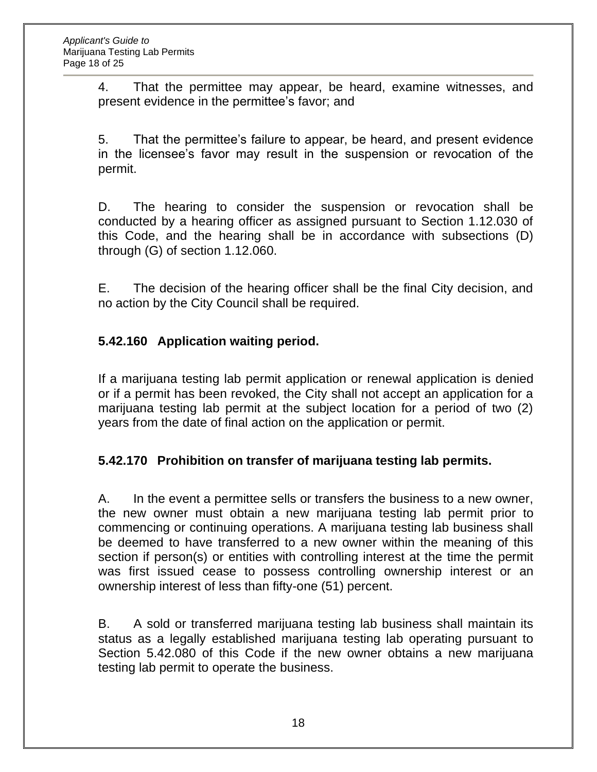4. That the permittee may appear, be heard, examine witnesses, and present evidence in the permittee's favor; and

5. That the permittee's failure to appear, be heard, and present evidence in the licensee's favor may result in the suspension or revocation of the permit.

D. The hearing to consider the suspension or revocation shall be conducted by a hearing officer as assigned pursuant to Section 1.12.030 of this Code, and the hearing shall be in accordance with subsections (D) through (G) of section 1.12.060.

E. The decision of the hearing officer shall be the final City decision, and no action by the City Council shall be required.

## **5.42.160 Application waiting period.**

If a marijuana testing lab permit application or renewal application is denied or if a permit has been revoked, the City shall not accept an application for a marijuana testing lab permit at the subject location for a period of two (2) years from the date of final action on the application or permit.

## **5.42.170 Prohibition on transfer of marijuana testing lab permits.**

A. In the event a permittee sells or transfers the business to a new owner, the new owner must obtain a new marijuana testing lab permit prior to commencing or continuing operations. A marijuana testing lab business shall be deemed to have transferred to a new owner within the meaning of this section if person(s) or entities with controlling interest at the time the permit was first issued cease to possess controlling ownership interest or an ownership interest of less than fifty-one (51) percent.

B. A sold or transferred marijuana testing lab business shall maintain its status as a legally established marijuana testing lab operating pursuant to Section 5.42.080 of this Code if the new owner obtains a new marijuana testing lab permit to operate the business.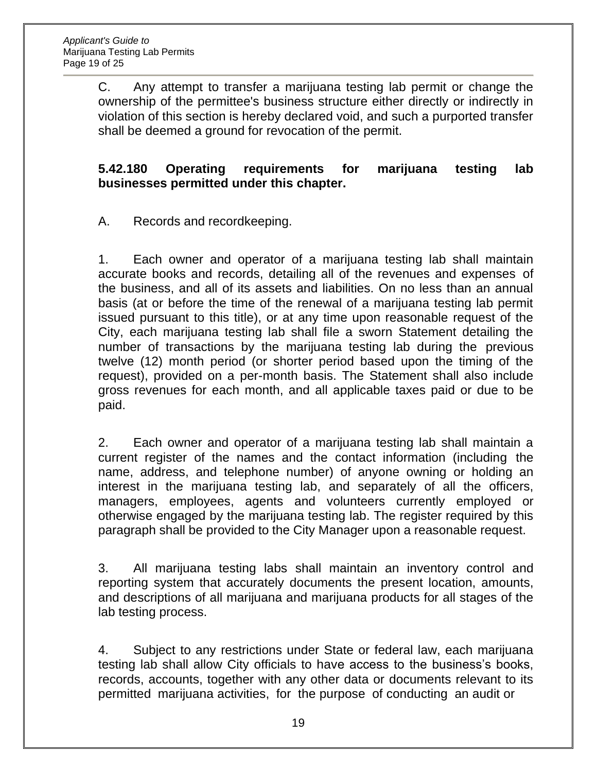C. Any attempt to transfer a marijuana testing lab permit or change the ownership of the permittee's business structure either directly or indirectly in violation of this section is hereby declared void, and such a purported transfer shall be deemed a ground for revocation of the permit.

#### **5.42.180 Operating requirements for marijuana testing lab businesses permitted under this chapter.**

A. Records and recordkeeping.

1. Each owner and operator of a marijuana testing lab shall maintain accurate books and records, detailing all of the revenues and expenses of the business, and all of its assets and liabilities. On no less than an annual basis (at or before the time of the renewal of a marijuana testing lab permit issued pursuant to this title), or at any time upon reasonable request of the City, each marijuana testing lab shall file a sworn Statement detailing the number of transactions by the marijuana testing lab during the previous twelve (12) month period (or shorter period based upon the timing of the request), provided on a per-month basis. The Statement shall also include gross revenues for each month, and all applicable taxes paid or due to be paid.

2. Each owner and operator of a marijuana testing lab shall maintain a current register of the names and the contact information (including the name, address, and telephone number) of anyone owning or holding an interest in the marijuana testing lab, and separately of all the officers, managers, employees, agents and volunteers currently employed or otherwise engaged by the marijuana testing lab. The register required by this paragraph shall be provided to the City Manager upon a reasonable request.

3. All marijuana testing labs shall maintain an inventory control and reporting system that accurately documents the present location, amounts, and descriptions of all marijuana and marijuana products for all stages of the lab testing process.

4. Subject to any restrictions under State or federal law, each marijuana testing lab shall allow City officials to have access to the business's books, records, accounts, together with any other data or documents relevant to its permitted marijuana activities, for the purpose of conducting an audit or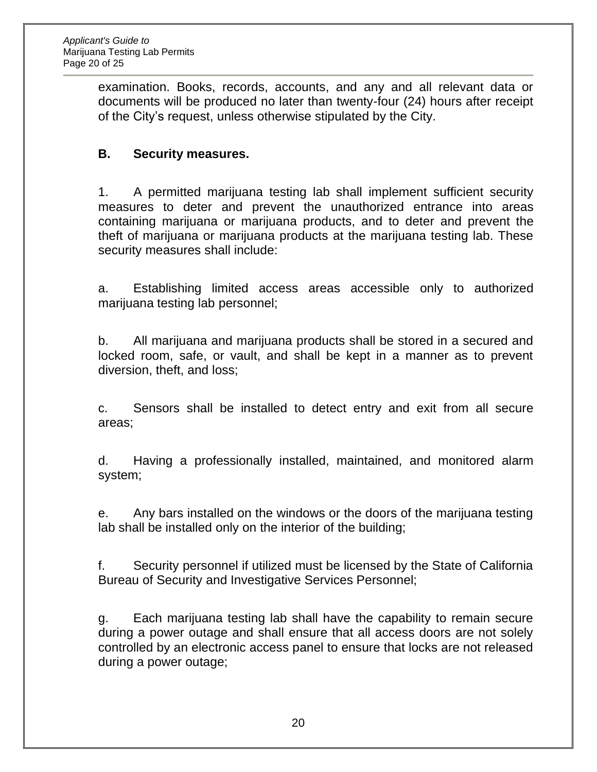examination. Books, records, accounts, and any and all relevant data or documents will be produced no later than twenty-four (24) hours after receipt of the City's request, unless otherwise stipulated by the City.

## **B. Security measures.**

1. A permitted marijuana testing lab shall implement sufficient security measures to deter and prevent the unauthorized entrance into areas containing marijuana or marijuana products, and to deter and prevent the theft of marijuana or marijuana products at the marijuana testing lab. These security measures shall include:

a. Establishing limited access areas accessible only to authorized marijuana testing lab personnel;

b. All marijuana and marijuana products shall be stored in a secured and locked room, safe, or vault, and shall be kept in a manner as to prevent diversion, theft, and loss;

c. Sensors shall be installed to detect entry and exit from all secure areas;

d. Having a professionally installed, maintained, and monitored alarm system;

e. Any bars installed on the windows or the doors of the marijuana testing lab shall be installed only on the interior of the building;

f. Security personnel if utilized must be licensed by the State of California Bureau of Security and Investigative Services Personnel;

g. Each marijuana testing lab shall have the capability to remain secure during a power outage and shall ensure that all access doors are not solely controlled by an electronic access panel to ensure that locks are not released during a power outage;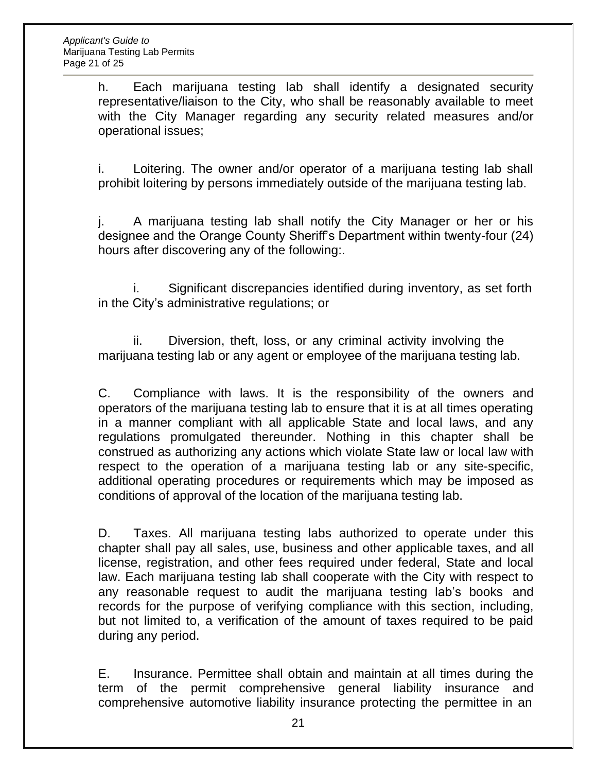h. Each marijuana testing lab shall identify a designated security representative/liaison to the City, who shall be reasonably available to meet with the City Manager regarding any security related measures and/or operational issues;

i. Loitering. The owner and/or operator of a marijuana testing lab shall prohibit loitering by persons immediately outside of the marijuana testing lab.

j. A marijuana testing lab shall notify the City Manager or her or his designee and the Orange County Sheriff's Department within twenty-four (24) hours after discovering any of the following:.

i. Significant discrepancies identified during inventory, as set forth in the City's administrative regulations; or

ii. Diversion, theft, loss, or any criminal activity involving the marijuana testing lab or any agent or employee of the marijuana testing lab.

C. Compliance with laws. It is the responsibility of the owners and operators of the marijuana testing lab to ensure that it is at all times operating in a manner compliant with all applicable State and local laws, and any regulations promulgated thereunder. Nothing in this chapter shall be construed as authorizing any actions which violate State law or local law with respect to the operation of a marijuana testing lab or any site-specific, additional operating procedures or requirements which may be imposed as conditions of approval of the location of the marijuana testing lab.

D. Taxes. All marijuana testing labs authorized to operate under this chapter shall pay all sales, use, business and other applicable taxes, and all license, registration, and other fees required under federal, State and local law. Each marijuana testing lab shall cooperate with the City with respect to any reasonable request to audit the marijuana testing lab's books and records for the purpose of verifying compliance with this section, including, but not limited to, a verification of the amount of taxes required to be paid during any period.

E. Insurance. Permittee shall obtain and maintain at all times during the term of the permit comprehensive general liability insurance and comprehensive automotive liability insurance protecting the permittee in an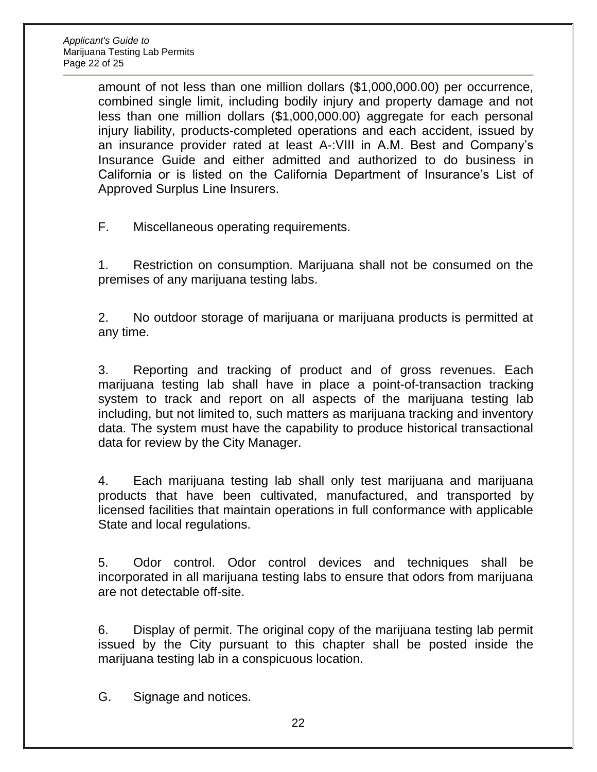amount of not less than one million dollars (\$1,000,000.00) per occurrence, combined single limit, including bodily injury and property damage and not less than one million dollars (\$1,000,000.00) aggregate for each personal injury liability, products-completed operations and each accident, issued by an insurance provider rated at least A-:VIII in A.M. Best and Company's Insurance Guide and either admitted and authorized to do business in California or is listed on the California Department of Insurance's List of Approved Surplus Line Insurers.

F. Miscellaneous operating requirements.

1. Restriction on consumption. Marijuana shall not be consumed on the premises of any marijuana testing labs.

2. No outdoor storage of marijuana or marijuana products is permitted at any time.

3. Reporting and tracking of product and of gross revenues. Each marijuana testing lab shall have in place a point-of-transaction tracking system to track and report on all aspects of the marijuana testing lab including, but not limited to, such matters as marijuana tracking and inventory data. The system must have the capability to produce historical transactional data for review by the City Manager.

4. Each marijuana testing lab shall only test marijuana and marijuana products that have been cultivated, manufactured, and transported by licensed facilities that maintain operations in full conformance with applicable State and local regulations.

5. Odor control. Odor control devices and techniques shall be incorporated in all marijuana testing labs to ensure that odors from marijuana are not detectable off-site.

6. Display of permit. The original copy of the marijuana testing lab permit issued by the City pursuant to this chapter shall be posted inside the marijuana testing lab in a conspicuous location.

G. Signage and notices.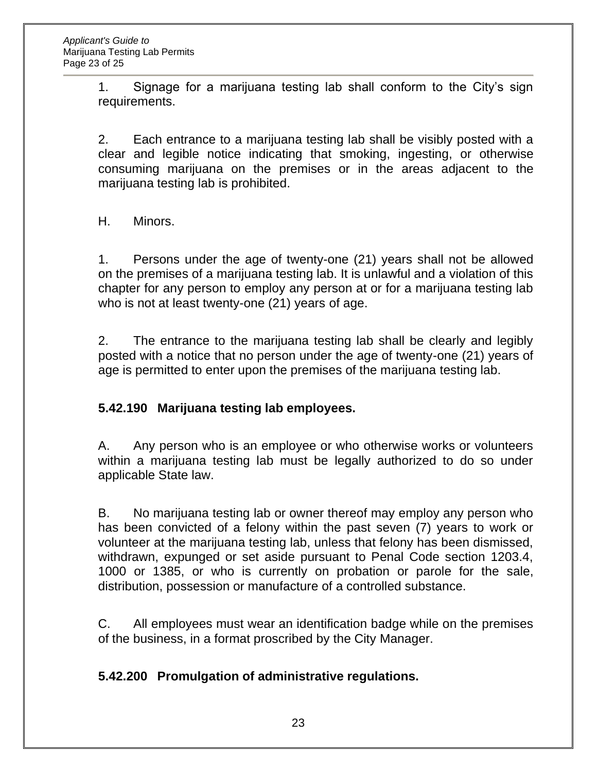1. Signage for a marijuana testing lab shall conform to the City's sign requirements.

2. Each entrance to a marijuana testing lab shall be visibly posted with a clear and legible notice indicating that smoking, ingesting, or otherwise consuming marijuana on the premises or in the areas adjacent to the marijuana testing lab is prohibited.

H. Minors.

1. Persons under the age of twenty-one (21) years shall not be allowed on the premises of a marijuana testing lab. It is unlawful and a violation of this chapter for any person to employ any person at or for a marijuana testing lab who is not at least twenty-one (21) years of age.

2. The entrance to the marijuana testing lab shall be clearly and legibly posted with a notice that no person under the age of twenty-one (21) years of age is permitted to enter upon the premises of the marijuana testing lab.

## **5.42.190 Marijuana testing lab employees.**

A. Any person who is an employee or who otherwise works or volunteers within a marijuana testing lab must be legally authorized to do so under applicable State law.

B. No marijuana testing lab or owner thereof may employ any person who has been convicted of a felony within the past seven (7) years to work or volunteer at the marijuana testing lab, unless that felony has been dismissed, withdrawn, expunged or set aside pursuant to Penal Code section 1203.4, 1000 or 1385, or who is currently on probation or parole for the sale, distribution, possession or manufacture of a controlled substance.

C. All employees must wear an identification badge while on the premises of the business, in a format proscribed by the City Manager.

## **5.42.200 Promulgation of administrative regulations.**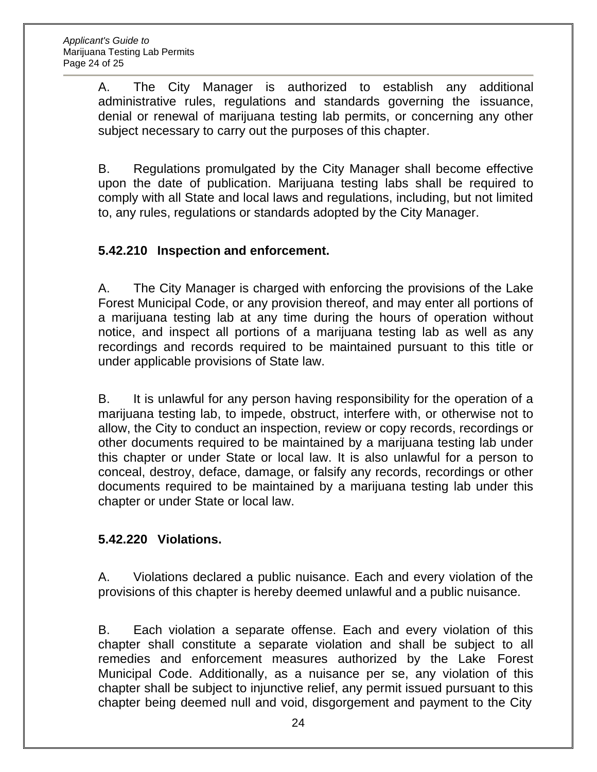A. The City Manager is authorized to establish any additional administrative rules, regulations and standards governing the issuance, denial or renewal of marijuana testing lab permits, or concerning any other subject necessary to carry out the purposes of this chapter.

B. Regulations promulgated by the City Manager shall become effective upon the date of publication. Marijuana testing labs shall be required to comply with all State and local laws and regulations, including, but not limited to, any rules, regulations or standards adopted by the City Manager.

## **5.42.210 Inspection and enforcement.**

A. The City Manager is charged with enforcing the provisions of the Lake Forest Municipal Code, or any provision thereof, and may enter all portions of a marijuana testing lab at any time during the hours of operation without notice, and inspect all portions of a marijuana testing lab as well as any recordings and records required to be maintained pursuant to this title or under applicable provisions of State law.

B. It is unlawful for any person having responsibility for the operation of a marijuana testing lab, to impede, obstruct, interfere with, or otherwise not to allow, the City to conduct an inspection, review or copy records, recordings or other documents required to be maintained by a marijuana testing lab under this chapter or under State or local law. It is also unlawful for a person to conceal, destroy, deface, damage, or falsify any records, recordings or other documents required to be maintained by a marijuana testing lab under this chapter or under State or local law.

#### **5.42.220 Violations.**

A. Violations declared a public nuisance. Each and every violation of the provisions of this chapter is hereby deemed unlawful and a public nuisance.

B. Each violation a separate offense. Each and every violation of this chapter shall constitute a separate violation and shall be subject to all remedies and enforcement measures authorized by the Lake Forest Municipal Code. Additionally, as a nuisance per se, any violation of this chapter shall be subject to injunctive relief, any permit issued pursuant to this chapter being deemed null and void, disgorgement and payment to the City